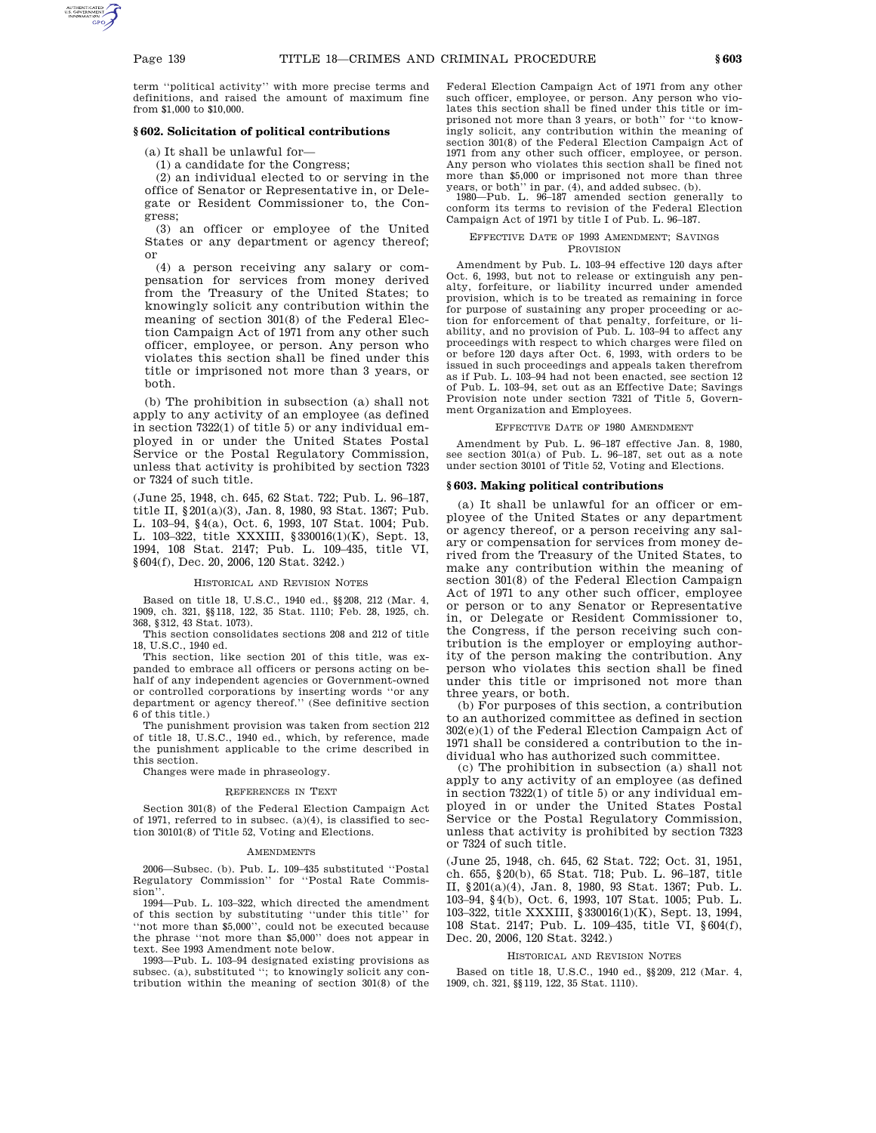term ''political activity'' with more precise terms and definitions, and raised the amount of maximum fine from \$1,000 to \$10,000.

## **§ 602. Solicitation of political contributions**

(a) It shall be unlawful for—

(1) a candidate for the Congress;

(2) an individual elected to or serving in the office of Senator or Representative in, or Delegate or Resident Commissioner to, the Congress;

(3) an officer or employee of the United States or any department or agency thereof; or

(4) a person receiving any salary or compensation for services from money derived from the Treasury of the United States; to knowingly solicit any contribution within the meaning of section 301(8) of the Federal Election Campaign Act of 1971 from any other such officer, employee, or person. Any person who violates this section shall be fined under this title or imprisoned not more than 3 years, or both.

(b) The prohibition in subsection (a) shall not apply to any activity of an employee (as defined in section 7322(1) of title 5) or any individual employed in or under the United States Postal Service or the Postal Regulatory Commission, unless that activity is prohibited by section 7323 or 7324 of such title.

(June 25, 1948, ch. 645, 62 Stat. 722; Pub. L. 96–187, title II, §201(a)(3), Jan. 8, 1980, 93 Stat. 1367; Pub. L. 103–94, §4(a), Oct. 6, 1993, 107 Stat. 1004; Pub. L. 103–322, title XXXIII, §330016(1)(K), Sept. 13, 1994, 108 Stat. 2147; Pub. L. 109–435, title VI, §604(f), Dec. 20, 2006, 120 Stat. 3242.)

#### HISTORICAL AND REVISION NOTES

Based on title 18, U.S.C., 1940 ed., §§208, 212 (Mar. 4, 1909, ch. 321, §§118, 122, 35 Stat. 1110; Feb. 28, 1925, ch. 368, §312, 43 Stat. 1073).

This section consolidates sections 208 and 212 of title 18, U.S.C., 1940 ed.

This section, like section 201 of this title, was expanded to embrace all officers or persons acting on behalf of any independent agencies or Government-owned or controlled corporations by inserting words ''or any department or agency thereof.'' (See definitive section 6 of this title.)

The punishment provision was taken from section 212 of title 18, U.S.C., 1940 ed., which, by reference, made the punishment applicable to the crime described in this section.

Changes were made in phraseology.

#### REFERENCES IN TEXT

Section 301(8) of the Federal Election Campaign Act of 1971, referred to in subsec. (a)(4), is classified to section 30101(8) of Title 52, Voting and Elections.

#### AMENDMENTS

2006—Subsec. (b). Pub. L. 109–435 substituted ''Postal Regulatory Commission'' for ''Postal Rate Commission''.

1994—Pub. L. 103–322, which directed the amendment of this section by substituting ''under this title'' for ''not more than \$5,000'', could not be executed because the phrase ''not more than \$5,000'' does not appear in text. See 1993 Amendment note below.

1993—Pub. L. 103–94 designated existing provisions as subsec. (a), substituted ''; to knowingly solicit any contribution within the meaning of section 301(8) of the Federal Election Campaign Act of 1971 from any other such officer, employee, or person. Any person who violates this section shall be fined under this title or imprisoned not more than 3 years, or both'' for ''to knowingly solicit, any contribution within the meaning of section 301(8) of the Federal Election Campaign Act of 1971 from any other such officer, employee, or person. Any person who violates this section shall be fined not more than \$5,000 or imprisoned not more than three

years, or both'' in par. (4), and added subsec. (b). 1980—Pub. L. 96–187 amended section generally to conform its terms to revision of the Federal Election Campaign Act of 1971 by title I of Pub. L. 96–187.

### EFFECTIVE DATE OF 1993 AMENDMENT; SAVINGS PROVISION

Amendment by Pub. L. 103–94 effective 120 days after Oct. 6, 1993, but not to release or extinguish any penalty, forfeiture, or liability incurred under amended provision, which is to be treated as remaining in force for purpose of sustaining any proper proceeding or action for enforcement of that penalty, forfeiture, or liability, and no provision of Pub. L. 103–94 to affect any proceedings with respect to which charges were filed on or before 120 days after Oct. 6, 1993, with orders to be issued in such proceedings and appeals taken therefrom as if Pub. L. 103–94 had not been enacted, see section 12 of Pub. L. 103–94, set out as an Effective Date; Savings Provision note under section 7321 of Title 5, Government Organization and Employees.

#### EFFECTIVE DATE OF 1980 AMENDMENT

Amendment by Pub. L. 96–187 effective Jan. 8, 1980, see section 301(a) of Pub. L. 96-187, set out as a note under section 30101 of Title 52, Voting and Elections.

### **§ 603. Making political contributions**

(a) It shall be unlawful for an officer or employee of the United States or any department or agency thereof, or a person receiving any salary or compensation for services from money derived from the Treasury of the United States, to make any contribution within the meaning of section 301(8) of the Federal Election Campaign Act of 1971 to any other such officer, employee or person or to any Senator or Representative in, or Delegate or Resident Commissioner to, the Congress, if the person receiving such contribution is the employer or employing authority of the person making the contribution. Any person who violates this section shall be fined under this title or imprisoned not more than three years, or both.

(b) For purposes of this section, a contribution to an authorized committee as defined in section 302(e)(1) of the Federal Election Campaign Act of 1971 shall be considered a contribution to the individual who has authorized such committee.

(c) The prohibition in subsection (a) shall not apply to any activity of an employee (as defined in section 7322(1) of title 5) or any individual employed in or under the United States Postal Service or the Postal Regulatory Commission, unless that activity is prohibited by section 7323 or 7324 of such title.

(June 25, 1948, ch. 645, 62 Stat. 722; Oct. 31, 1951, ch. 655, §20(b), 65 Stat. 718; Pub. L. 96–187, title II, §201(a)(4), Jan. 8, 1980, 93 Stat. 1367; Pub. L. 103–94, §4(b), Oct. 6, 1993, 107 Stat. 1005; Pub. L. 103–322, title XXXIII, §330016(1)(K), Sept. 13, 1994, 108 Stat. 2147; Pub. L. 109–435, title VI, §604(f), Dec. 20, 2006, 120 Stat. 3242.)

### HISTORICAL AND REVISION NOTES

Based on title 18, U.S.C., 1940 ed., §§209, 212 (Mar. 4, 1909, ch. 321, §§119, 122, 35 Stat. 1110).